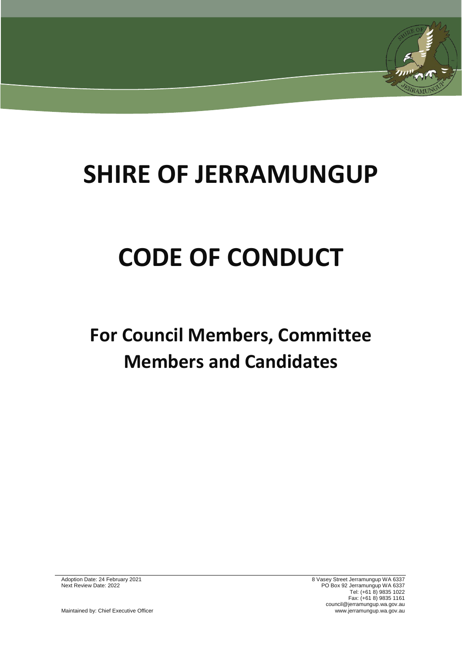# **SHIRE OF JERRAMUNGUP**

# **CODE OF CONDUCT**

# **For Council Members, Committee Members and Candidates**

Adoption Date: 24 February 2021 8 Vasey Street Jerramungup WA 6337 Next Review Date: 2022 PO Box 92 Jerramungup WA 6337 Tel: (+61 8) 9835 1022 Fax: (+61 8) 9835 1161 council@jerramungup.wa.gov.au Maintained by: Chief Executive Officer www.jerramungup.wa.gov.au chief Executive Officer www.jerramungup.wa.gov.au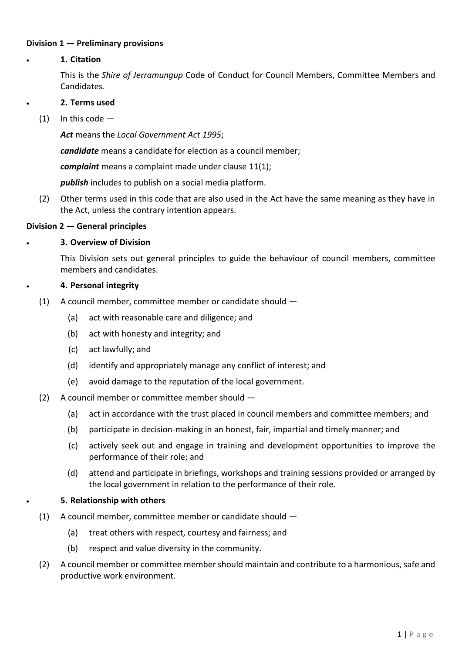# **Division 1 — Preliminary provisions**

# **1. Citation**

This is the *Shire of Jerramungup* Code of Conduct for Council Members, Committee Members and Candidates.

#### **2. Terms used**

 $(1)$  In this code  $-$ 

*Act* means the *Local Government Act 1995*;

*candidate* means a candidate for election as a council member;

*complaint* means a complaint made under clause 11(1);

*publish* includes to publish on a social media platform.

(2) Other terms used in this code that are also used in the Act have the same meaning as they have in the Act, unless the contrary intention appears.

#### **Division 2 — General principles**

# **3. Overview of Division**

This Division sets out general principles to guide the behaviour of council members, committee members and candidates.

#### **4. Personal integrity**

- (1) A council member, committee member or candidate should
	- (a) act with reasonable care and diligence; and
	- (b) act with honesty and integrity; and
	- (c) act lawfully; and
	- (d) identify and appropriately manage any conflict of interest; and
	- (e) avoid damage to the reputation of the local government.
- (2) A council member or committee member should
	- (a) act in accordance with the trust placed in council members and committee members; and
	- (b) participate in decision-making in an honest, fair, impartial and timely manner; and
	- (c) actively seek out and engage in training and development opportunities to improve the performance of their role; and
	- (d) attend and participate in briefings, workshops and training sessions provided or arranged by the local government in relation to the performance of their role.

#### **5. Relationship with others**

- (1) A council member, committee member or candidate should
	- (a) treat others with respect, courtesy and fairness; and
	- (b) respect and value diversity in the community.
- (2) A council member or committee member should maintain and contribute to a harmonious, safe and productive work environment.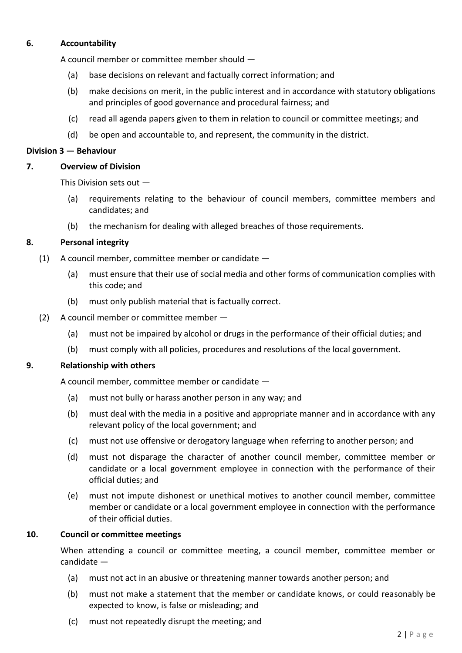# **6. Accountability**

A council member or committee member should —

- (a) base decisions on relevant and factually correct information; and
- (b) make decisions on merit, in the public interest and in accordance with statutory obligations and principles of good governance and procedural fairness; and
- (c) read all agenda papers given to them in relation to council or committee meetings; and
- (d) be open and accountable to, and represent, the community in the district.

#### **Division 3 — Behaviour**

#### **7. Overview of Division**

This Division sets out —

- (a) requirements relating to the behaviour of council members, committee members and candidates; and
- (b) the mechanism for dealing with alleged breaches of those requirements.

# **8. Personal integrity**

- (1) A council member, committee member or candidate
	- (a) must ensure that their use of social media and other forms of communication complies with this code; and
	- (b) must only publish material that is factually correct.

# (2) A council member or committee member —

- (a) must not be impaired by alcohol or drugs in the performance of their official duties; and
- (b) must comply with all policies, procedures and resolutions of the local government.

#### **9. Relationship with others**

A council member, committee member or candidate —

- (a) must not bully or harass another person in any way; and
- (b) must deal with the media in a positive and appropriate manner and in accordance with any relevant policy of the local government; and
- (c) must not use offensive or derogatory language when referring to another person; and
- (d) must not disparage the character of another council member, committee member or candidate or a local government employee in connection with the performance of their official duties; and
- (e) must not impute dishonest or unethical motives to another council member, committee member or candidate or a local government employee in connection with the performance of their official duties.

#### **10. Council or committee meetings**

When attending a council or committee meeting, a council member, committee member or candidate —

- (a) must not act in an abusive or threatening manner towards another person; and
- (b) must not make a statement that the member or candidate knows, or could reasonably be expected to know, is false or misleading; and
- (c) must not repeatedly disrupt the meeting; and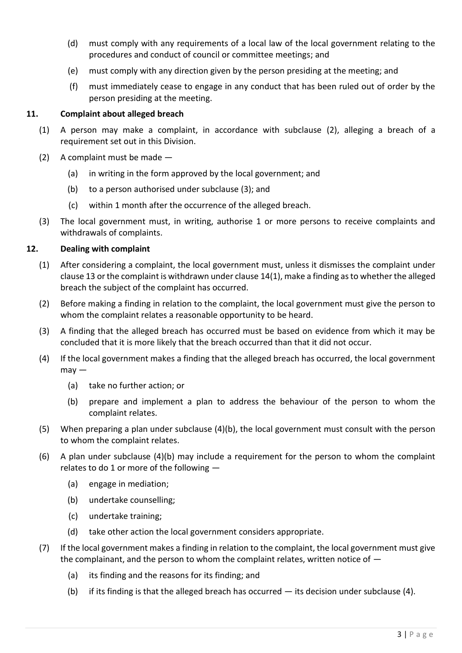- (d) must comply with any requirements of a local law of the local government relating to the procedures and conduct of council or committee meetings; and
- (e) must comply with any direction given by the person presiding at the meeting; and
- (f) must immediately cease to engage in any conduct that has been ruled out of order by the person presiding at the meeting.

# **11. Complaint about alleged breach**

- (1) A person may make a complaint, in accordance with subclause (2), alleging a breach of a requirement set out in this Division.
- (2) A complaint must be made
	- (a) in writing in the form approved by the local government; and
	- (b) to a person authorised under subclause (3); and
	- (c) within 1 month after the occurrence of the alleged breach.
- (3) The local government must, in writing, authorise 1 or more persons to receive complaints and withdrawals of complaints.

# **12. Dealing with complaint**

- (1) After considering a complaint, the local government must, unless it dismisses the complaint under clause 13 or the complaint is withdrawn under clause 14(1), make a finding as to whether the alleged breach the subject of the complaint has occurred.
- (2) Before making a finding in relation to the complaint, the local government must give the person to whom the complaint relates a reasonable opportunity to be heard.
- (3) A finding that the alleged breach has occurred must be based on evidence from which it may be concluded that it is more likely that the breach occurred than that it did not occur.
- (4) If the local government makes a finding that the alleged breach has occurred, the local government  $m$ ay  $-$ 
	- (a) take no further action; or
	- (b) prepare and implement a plan to address the behaviour of the person to whom the complaint relates.
- (5) When preparing a plan under subclause (4)(b), the local government must consult with the person to whom the complaint relates.
- (6) A plan under subclause (4)(b) may include a requirement for the person to whom the complaint relates to do 1 or more of the following —
	- (a) engage in mediation;
	- (b) undertake counselling;
	- (c) undertake training;
	- (d) take other action the local government considers appropriate.
- (7) If the local government makes a finding in relation to the complaint, the local government must give the complainant, and the person to whom the complaint relates, written notice of  $-$ 
	- (a) its finding and the reasons for its finding; and
	- (b) if its finding is that the alleged breach has occurred its decision under subclause (4).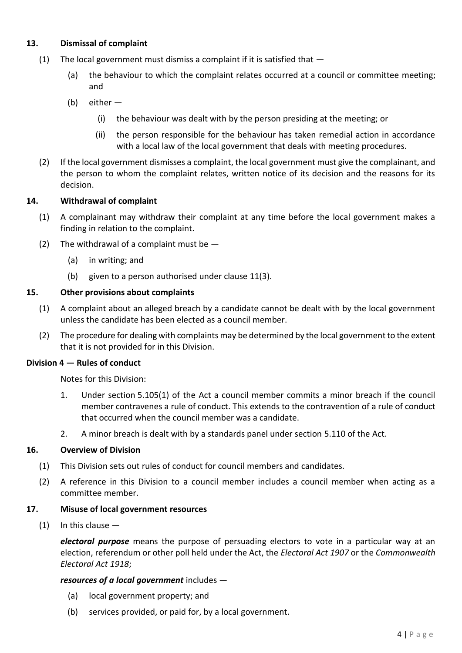# **13. Dismissal of complaint**

- (1) The local government must dismiss a complaint if it is satisfied that  $-$ 
	- (a) the behaviour to which the complaint relates occurred at a council or committee meeting; and
	- (b) either
		- (i) the behaviour was dealt with by the person presiding at the meeting; or
		- (ii) the person responsible for the behaviour has taken remedial action in accordance with a local law of the local government that deals with meeting procedures.
- (2) If the local government dismisses a complaint, the local government must give the complainant, and the person to whom the complaint relates, written notice of its decision and the reasons for its decision.

#### **14. Withdrawal of complaint**

- (1) A complainant may withdraw their complaint at any time before the local government makes a finding in relation to the complaint.
- (2) The withdrawal of a complaint must be  $-$ 
	- (a) in writing; and
	- (b) given to a person authorised under clause 11(3).

# **15. Other provisions about complaints**

- (1) A complaint about an alleged breach by a candidate cannot be dealt with by the local government unless the candidate has been elected as a council member.
- (2) The procedure for dealing with complaints may be determined by the local government to the extent that it is not provided for in this Division.

#### **Division 4 — Rules of conduct**

Notes for this Division:

- 1. Under section 5.105(1) of the Act a council member commits a minor breach if the council member contravenes a rule of conduct. This extends to the contravention of a rule of conduct that occurred when the council member was a candidate.
- 2. A minor breach is dealt with by a standards panel under section 5.110 of the Act.

#### **16. Overview of Division**

- (1) This Division sets out rules of conduct for council members and candidates.
- (2) A reference in this Division to a council member includes a council member when acting as a committee member.

#### **17. Misuse of local government resources**

 $(1)$  In this clause  $-$ 

*electoral purpose* means the purpose of persuading electors to vote in a particular way at an election, referendum or other poll held under the Act, the *Electoral Act 1907* or the *Commonwealth Electoral Act 1918*;

#### *resources of a local government* includes —

- (a) local government property; and
- (b) services provided, or paid for, by a local government.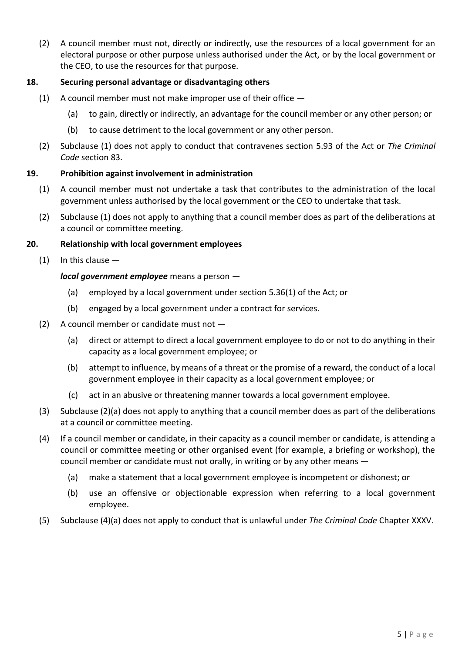(2) A council member must not, directly or indirectly, use the resources of a local government for an electoral purpose or other purpose unless authorised under the Act, or by the local government or the CEO, to use the resources for that purpose.

# **18. Securing personal advantage or disadvantaging others**

- (1) A council member must not make improper use of their office  $-$ 
	- (a) to gain, directly or indirectly, an advantage for the council member or any other person; or
	- (b) to cause detriment to the local government or any other person.
- (2) Subclause (1) does not apply to conduct that contravenes section 5.93 of the Act or *The Criminal Code* section 83.

# **19. Prohibition against involvement in administration**

- (1) A council member must not undertake a task that contributes to the administration of the local government unless authorised by the local government or the CEO to undertake that task.
- (2) Subclause (1) does not apply to anything that a council member does as part of the deliberations at a council or committee meeting.

# **20. Relationship with local government employees**

 $(1)$  In this clause  $-$ 

# *local government employee* means a person —

- (a) employed by a local government under section 5.36(1) of the Act; or
- (b) engaged by a local government under a contract for services.
- (2) A council member or candidate must not  $-$ 
	- (a) direct or attempt to direct a local government employee to do or not to do anything in their capacity as a local government employee; or
	- (b) attempt to influence, by means of a threat or the promise of a reward, the conduct of a local government employee in their capacity as a local government employee; or
	- (c) act in an abusive or threatening manner towards a local government employee.
- (3) Subclause (2)(a) does not apply to anything that a council member does as part of the deliberations at a council or committee meeting.
- (4) If a council member or candidate, in their capacity as a council member or candidate, is attending a council or committee meeting or other organised event (for example, a briefing or workshop), the council member or candidate must not orally, in writing or by any other means —
	- (a) make a statement that a local government employee is incompetent or dishonest; or
	- (b) use an offensive or objectionable expression when referring to a local government employee.
- (5) Subclause (4)(a) does not apply to conduct that is unlawful under *The Criminal Code* Chapter XXXV.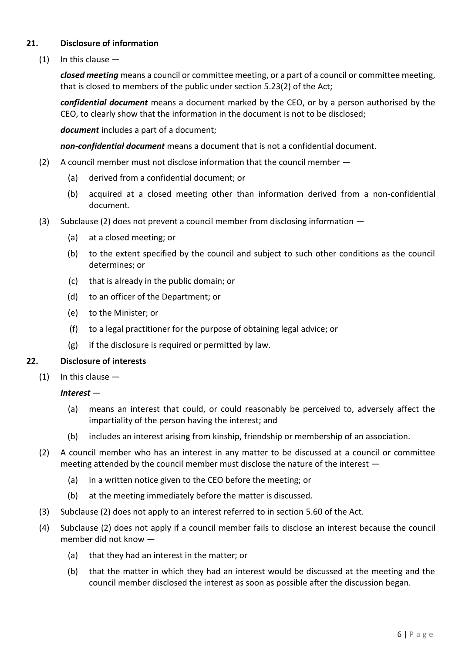# **21. Disclosure of information**

 $(1)$  In this clause  $-$ 

*closed meeting* means a council or committee meeting, or a part of a council or committee meeting, that is closed to members of the public under section 5.23(2) of the Act;

*confidential document* means a document marked by the CEO, or by a person authorised by the CEO, to clearly show that the information in the document is not to be disclosed;

*document* includes a part of a document;

*non-confidential document* means a document that is not a confidential document.

- (2) A council member must not disclose information that the council member
	- (a) derived from a confidential document; or
	- (b) acquired at a closed meeting other than information derived from a non-confidential document.
- (3) Subclause (2) does not prevent a council member from disclosing information
	- (a) at a closed meeting; or
	- (b) to the extent specified by the council and subject to such other conditions as the council determines; or
	- (c) that is already in the public domain; or
	- (d) to an officer of the Department; or
	- (e) to the Minister; or
	- (f) to a legal practitioner for the purpose of obtaining legal advice; or
	- (g) if the disclosure is required or permitted by law.

#### **22. Disclosure of interests**

 $(1)$  In this clause  $-$ 

#### *Interest* —

- (a) means an interest that could, or could reasonably be perceived to, adversely affect the impartiality of the person having the interest; and
- (b) includes an interest arising from kinship, friendship or membership of an association.
- (2) A council member who has an interest in any matter to be discussed at a council or committee meeting attended by the council member must disclose the nature of the interest —
	- (a) in a written notice given to the CEO before the meeting; or
	- (b) at the meeting immediately before the matter is discussed.
- (3) Subclause (2) does not apply to an interest referred to in section 5.60 of the Act.
- (4) Subclause (2) does not apply if a council member fails to disclose an interest because the council member did not know —
	- (a) that they had an interest in the matter; or
	- (b) that the matter in which they had an interest would be discussed at the meeting and the council member disclosed the interest as soon as possible after the discussion began.